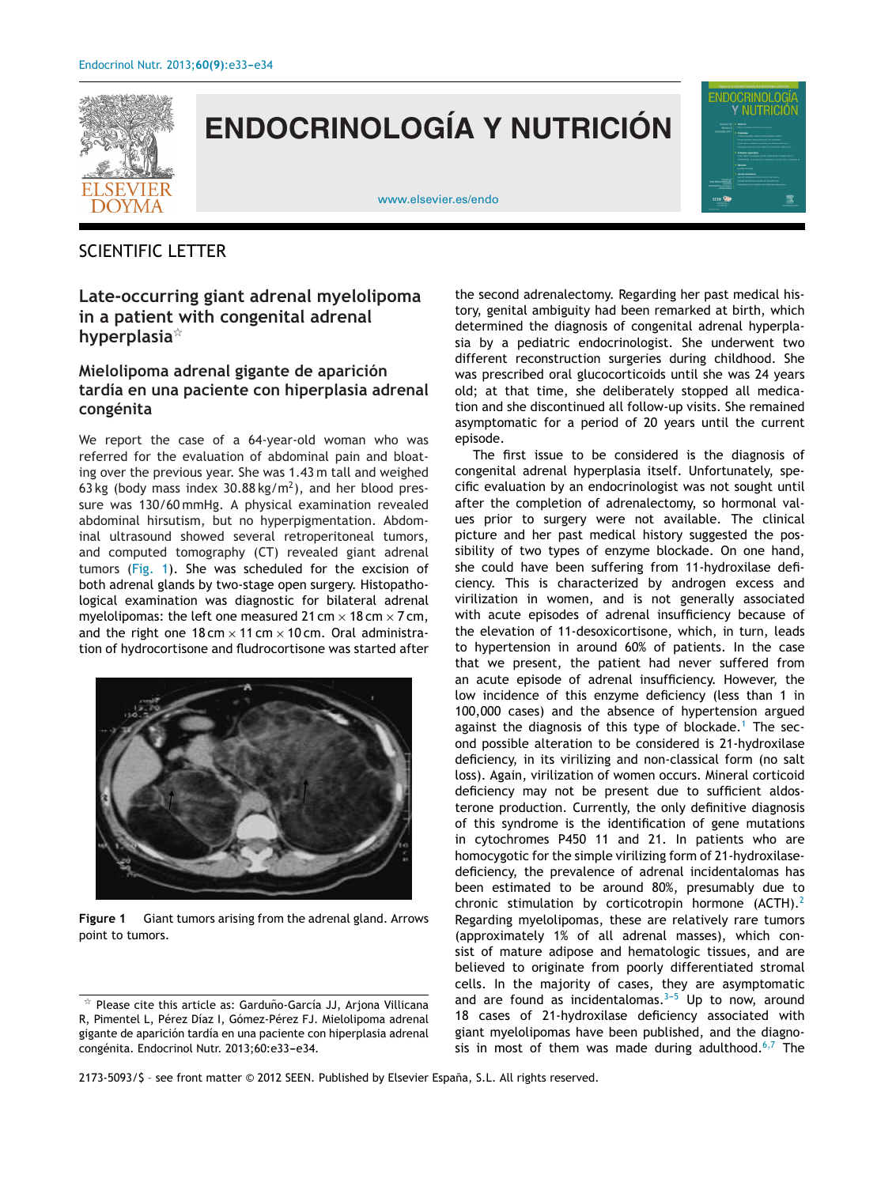

## **ENDOCRINOLOGÍA Y NUTRICIÓN**

[www.elsevier.es/endo](http://www.elsevier.es/endo)



## SCIENTIFIC LETTER

**Late-occurring giant adrenal myelolipoma in a patient with congenital adrenal hyperplasia**-

## **Mielolipoma adrenal gigante de aparición tardía en una paciente con hiperplasia adrenal congénita**

We report the case of a 64-year-old woman who was referred for the evaluation of abdominal pain and bloating over the previous year. She was 1.43 m tall and weighed 63 kg (body mass index  $30.88 \text{ kg/m}^2$ ), and her blood pressure was 130/60 mmHg. A physical examination revealed abdominal hirsutism, but no hyperpigmentation. Abdominal ultrasound showed several retroperitoneal tumors, and computed tomography (CT) revealed giant adrenal tumors (Fig. 1). She was scheduled for the excision of both adrenal glands by two-stage open surgery. Histopathological examination was diagnostic for bilateral adrenal myelolipomas: the left one measured 21 cm  $\times$  18 cm  $\times$  7 cm, and the right one  $18 \text{ cm} \times 11 \text{ cm} \times 10 \text{ cm}$ . Oral administration of hydrocortisone and fludrocortisone was started after



**Figure 1** Giant tumors arising from the adrenal gland. Arrows point to tumors.

the second adrenalectomy. Regarding her past medical history, genital ambiguity had been remarked at birth, which determined the diagnosis of congenital adrenal hyperplasia by a pediatric endocrinologist. She underwent two different reconstruction surgeries during childhood. She was prescribed oral glucocorticoids until she was 24 years old; at that time, she deliberately stopped all medication and she discontinued all follow-up visits. She remained asymptomatic for a period of 20 years until the current episode.

The first issue to be considered is the diagnosis of congenital adrenal hyperplasia itself. Unfortunately, specific evaluation by an endocrinologist was not sought until after the completion of adrenalectomy, so hormonal values prior to surgery were not available. The clinical picture and her past medical history suggested the possibility of two types of enzyme blockade. On one hand, she could have been suffering from 11-hydroxilase deficiency. This is characterized by androgen excess and virilization in women, and is not generally associated with acute episodes of adrenal insufficiency because of the elevation of 11-desoxicortisone, which, in turn, leads to hypertension in around 60% of patients. In the case that we present, the patient had never suffered from an acute episode of adrenal insufficiency. However, the low incidence of this enzyme deficiency (less than 1 in 100,000 cases) and the absence of hypertension argued against the diagnosis of this type of blockade.<sup>[1](#page-1-0)</sup> The second possible alteration to be considered is 21-hydroxilase deficiency, in its virilizing and non-classical form (no salt loss). Again, virilization of women occurs. Mineral corticoid deficiency may not be present due to sufficient aldosterone production. Currently, the only definitive diagnosis of this syndrome is the identification of gene mutations in cytochromes P450 11 and 21. In patients who are homocygotic for the simple virilizing form of 21-hydroxilasedeficiency, the prevalence of adrenal incidentalomas has been estimated to be around 80%, presumably due to chronic stimulation by corticotropin hormone  $(ACTH).^{2}$  $(ACTH).^{2}$  $(ACTH).^{2}$ Regarding myelolipomas, these are relatively rare tumors (approximately 1% of all adrenal masses), which consist of mature adipose and hematologic tissues, and are believed to originate from poorly differentiated stromal cells. In the majority of cases, they are asymptomatic and are found as incidentalomas. $3-5$  Up to now, around 18 cases of 21-hydroxilase deficiency associated with giant myelolipomas have been published, and the diagnosis in most of them was made during adulthood. $6,7$  The

2173-5093/\$ – see front matter © 2012 SEEN. Published by Elsevier España, S.L. All rights reserved.

 $^\star$  Please cite this article as: Garduño-García JJ, Arjona Villicana R, Pimentel L, Pérez Díaz I, Gómez-Pérez FJ. Mielolipoma adrenal gigante de aparición tardía en una paciente con hiperplasia adrenal congénita. Endocrinol Nutr. 2013;60:e33-e34.